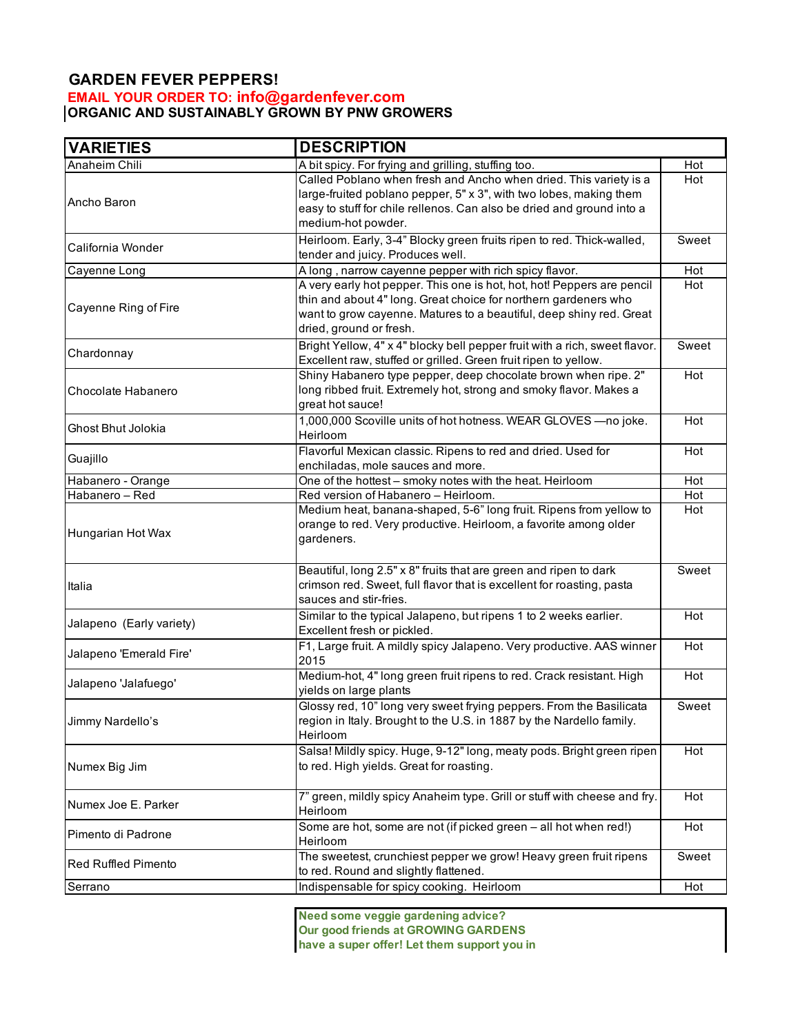## **GARDEN FEVER PEPPERS! EMAIL YOUR ORDER TO: info@gardenfever.com ORGANIC AND SUSTAINABLY GROWN BY PNW GROWERS**

| <b>VARIETIES</b>           | <b>DESCRIPTION</b>                                                         |            |
|----------------------------|----------------------------------------------------------------------------|------------|
| Anaheim Chili              | A bit spicy. For frying and grilling, stuffing too.                        | Hot        |
| Ancho Baron                | Called Poblano when fresh and Ancho when dried. This variety is a          | Hot        |
|                            | large-fruited poblano pepper, 5" x 3", with two lobes, making them         |            |
|                            | easy to stuff for chile rellenos. Can also be dried and ground into a      |            |
|                            | medium-hot powder.                                                         |            |
| California Wonder          | Heirloom. Early, 3-4" Blocky green fruits ripen to red. Thick-walled,      | Sweet      |
|                            | tender and juicy. Produces well.                                           |            |
| Cayenne Long               | A long, narrow cayenne pepper with rich spicy flavor.                      | Hot        |
| Cayenne Ring of Fire       | A very early hot pepper. This one is hot, hot, hot! Peppers are pencil     | Hot        |
|                            | thin and about 4" long. Great choice for northern gardeners who            |            |
|                            | want to grow cayenne. Matures to a beautiful, deep shiny red. Great        |            |
|                            | dried, ground or fresh.                                                    |            |
|                            | Bright Yellow, 4" x 4" blocky bell pepper fruit with a rich, sweet flavor. | Sweet      |
| Chardonnay                 | Excellent raw, stuffed or grilled. Green fruit ripen to yellow.            |            |
| Chocolate Habanero         | Shiny Habanero type pepper, deep chocolate brown when ripe. 2"             | Hot        |
|                            | long ribbed fruit. Extremely hot, strong and smoky flavor. Makes a         |            |
|                            | great hot sauce!                                                           |            |
| Ghost Bhut Jolokia         | 1,000,000 Scoville units of hot hotness. WEAR GLOVES - no joke.            | Hot        |
|                            | Heirloom                                                                   |            |
| Guajillo                   | Flavorful Mexican classic. Ripens to red and dried. Used for               | Hot        |
|                            | enchiladas, mole sauces and more.                                          |            |
| Habanero - Orange          | One of the hottest - smoky notes with the heat. Heirloom                   | Hot        |
| Habanero - Red             | Red version of Habanero - Heirloom.                                        | Hot        |
|                            | Medium heat, banana-shaped, 5-6" long fruit. Ripens from yellow to         | Hot        |
| Hungarian Hot Wax          | orange to red. Very productive. Heirloom, a favorite among older           |            |
|                            | gardeners.                                                                 |            |
|                            |                                                                            |            |
|                            | Beautiful, long 2.5" x 8" fruits that are green and ripen to dark          | Sweet      |
| Italia                     | crimson red. Sweet, full flavor that is excellent for roasting, pasta      |            |
|                            | sauces and stir-fries.                                                     |            |
| Jalapeno (Early variety)   | Similar to the typical Jalapeno, but ripens 1 to 2 weeks earlier.          | Hot        |
|                            | Excellent fresh or pickled.                                                |            |
| Jalapeno 'Emerald Fire'    | F1, Large fruit. A mildly spicy Jalapeno. Very productive. AAS winner      | <b>Hot</b> |
|                            | 2015                                                                       |            |
|                            | Medium-hot, 4" long green fruit ripens to red. Crack resistant. High       | <b>Hot</b> |
| Jalapeno 'Jalafuego'       | yields on large plants                                                     |            |
| Jimmy Nardello's           | Glossy red, 10" long very sweet frying peppers. From the Basilicata        | Sweet      |
|                            | region in Italy. Brought to the U.S. in 1887 by the Nardello family.       |            |
|                            | Heirloom                                                                   |            |
|                            | Salsa! Mildly spicy. Huge, 9-12" long, meaty pods. Bright green ripen      | Hot        |
| Numex Big Jim              | to red. High yields. Great for roasting.                                   |            |
|                            |                                                                            |            |
|                            | 7" green, mildly spicy Anaheim type. Grill or stuff with cheese and fry.   | Hot        |
| Numex Joe E. Parker        | Heirloom                                                                   |            |
| Pimento di Padrone         | Some are hot, some are not (if picked green - all hot when red!)           | Hot        |
|                            | Heirloom                                                                   |            |
|                            | The sweetest, crunchiest pepper we grow! Heavy green fruit ripens          | Sweet      |
| <b>Red Ruffled Pimento</b> | to red. Round and slightly flattened.                                      |            |
| Serrano                    | Indispensable for spicy cooking. Heirloom                                  | Hot        |
|                            |                                                                            |            |

**Need some veggie gardening advice? Our good friends at GROWING GARDENS have a super offer! Let them support you in**